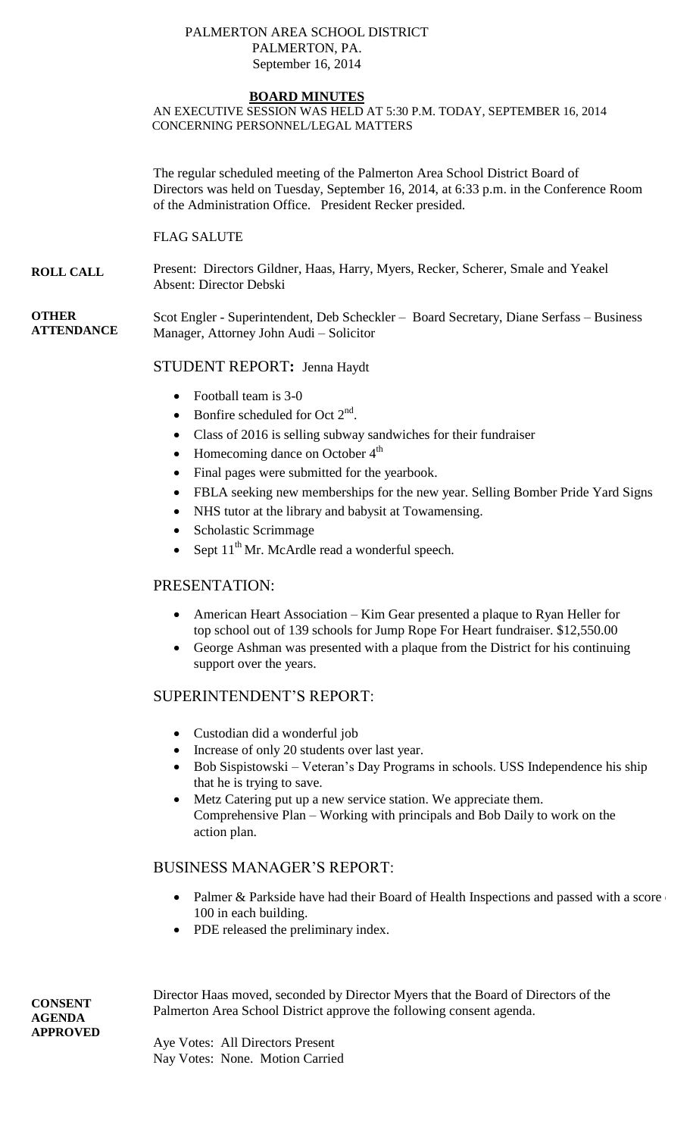#### PALMERTON AREA SCHOOL DISTRICT PALMERTON, PA. September 16, 2014

#### **BOARD MINUTES**

AN EXECUTIVE SESSION WAS HELD AT 5:30 P.M. TODAY, SEPTEMBER 16, 2014 CONCERNING PERSONNEL/LEGAL MATTERS

The regular scheduled meeting of the Palmerton Area School District Board of Directors was held on Tuesday, September 16, 2014, at 6:33 p.m. in the Conference Room of the Administration Office. President Recker presided.

FLAG SALUTE

**ROLL CALL** Present: Directors Gildner, Haas, Harry, Myers, Recker, Scherer, Smale and Yeakel Absent: Director Debski

**OTHER ATTENDANCE** Scot Engler - Superintendent, Deb Scheckler – Board Secretary, Diane Serfass – Business Manager, Attorney John Audi – Solicitor

## STUDENT REPORT**:** Jenna Haydt

- Football team is 3-0
- Bonfire scheduled for Oct  $2<sup>nd</sup>$ .
- Class of 2016 is selling subway sandwiches for their fundraiser
- Homecoming dance on October  $4<sup>th</sup>$
- Final pages were submitted for the yearbook.
- FBLA seeking new memberships for the new year. Selling Bomber Pride Yard Signs
- NHS tutor at the library and babysit at Towamensing.
- Scholastic Scrimmage
- Sept  $11<sup>th</sup>$  Mr. McArdle read a wonderful speech.

## PRESENTATION:

- American Heart Association Kim Gear presented a plaque to Ryan Heller for top school out of 139 schools for Jump Rope For Heart fundraiser. \$12,550.00
- George Ashman was presented with a plaque from the District for his continuing support over the years.

### SUPERINTENDENT'S REPORT:

- Custodian did a wonderful job
- Increase of only 20 students over last year.
- Bob Sispistowski Veteran's Day Programs in schools. USS Independence his ship that he is trying to save.
- Metz Catering put up a new service station. We appreciate them. Comprehensive Plan – Working with principals and Bob Daily to work on the action plan.

# BUSINESS MANAGER'S REPORT:

- Palmer  $&$  Parkside have had their Board of Health Inspections and passed with a score 100 in each building.
- PDE released the preliminary index.

Director Haas moved, seconded by Director Myers that the Board of Directors of the Palmerton Area School District approve the following consent agenda.

Aye Votes: All Directors Present Nay Votes: None. Motion Carried

**CONSENT AGENDA APPROVED**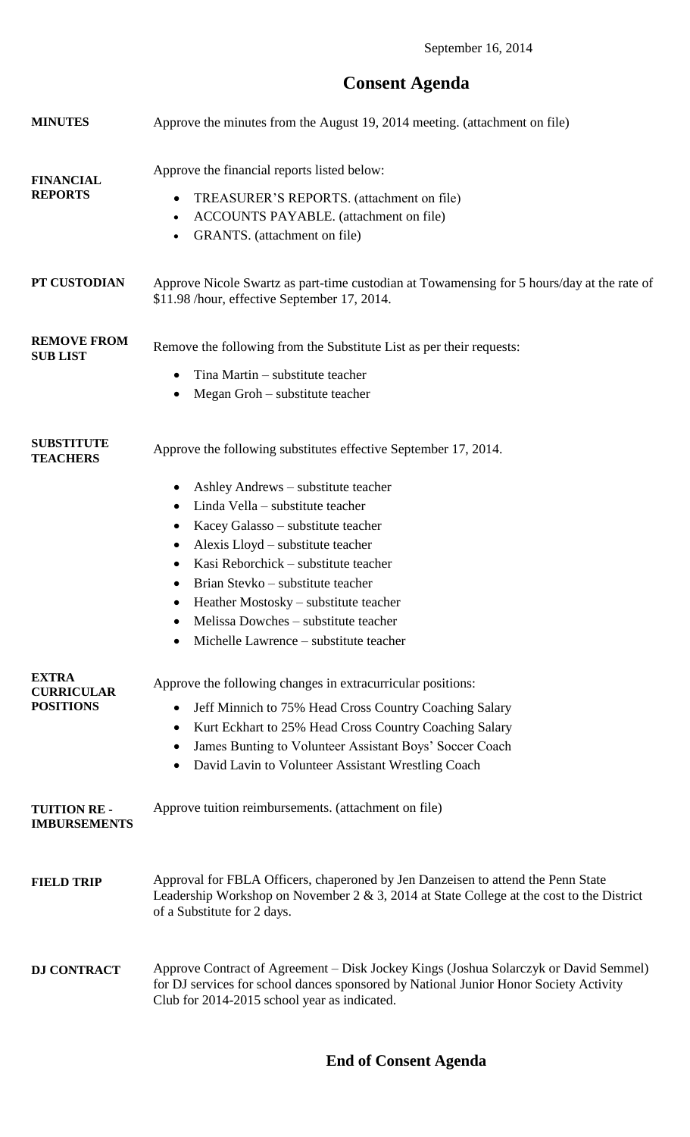September 16, 2014

# **Consent Agenda**

| <b>MINUTES</b>                                        | Approve the minutes from the August 19, 2014 meeting. (attachment on file)                                                                                                                                                                                                                                                                                                                                                                                                                  |
|-------------------------------------------------------|---------------------------------------------------------------------------------------------------------------------------------------------------------------------------------------------------------------------------------------------------------------------------------------------------------------------------------------------------------------------------------------------------------------------------------------------------------------------------------------------|
| <b>FINANCIAL</b><br><b>REPORTS</b>                    | Approve the financial reports listed below:<br>TREASURER'S REPORTS. (attachment on file)<br>$\bullet$<br>ACCOUNTS PAYABLE. (attachment on file)<br>$\bullet$<br>GRANTS. (attachment on file)<br>$\bullet$                                                                                                                                                                                                                                                                                   |
| PT CUSTODIAN                                          | Approve Nicole Swartz as part-time custodian at Towamensing for 5 hours/day at the rate of<br>\$11.98 /hour, effective September 17, 2014.                                                                                                                                                                                                                                                                                                                                                  |
| <b>REMOVE FROM</b><br><b>SUB LIST</b>                 | Remove the following from the Substitute List as per their requests:<br>Tina Martin - substitute teacher<br>Megan Groh – substitute teacher<br>$\bullet$                                                                                                                                                                                                                                                                                                                                    |
| <b>SUBSTITUTE</b><br><b>TEACHERS</b>                  | Approve the following substitutes effective September 17, 2014.<br>Ashley Andrews – substitute teacher<br>$\bullet$<br>Linda Vella – substitute teacher<br>$\bullet$<br>Kacey Galasso - substitute teacher<br>Alexis Lloyd – substitute teacher<br>$\bullet$<br>Kasi Reborchick – substitute teacher<br>Brian Stevko – substitute teacher<br>٠<br>Heather Mostosky – substitute teacher<br>$\bullet$<br>Melissa Dowches – substitute teacher<br>٠<br>Michelle Lawrence - substitute teacher |
| <b>EXTRA</b><br><b>CURRICULAR</b><br><b>POSITIONS</b> | Approve the following changes in extracurricular positions:<br>Jeff Minnich to 75% Head Cross Country Coaching Salary<br>$\bullet$<br>Kurt Eckhart to 25% Head Cross Country Coaching Salary<br>$\bullet$<br>James Bunting to Volunteer Assistant Boys' Soccer Coach<br>٠<br>David Lavin to Volunteer Assistant Wrestling Coach                                                                                                                                                             |
| <b>TUITION RE-</b><br><b>IMBURSEMENTS</b>             | Approve tuition reimbursements. (attachment on file)                                                                                                                                                                                                                                                                                                                                                                                                                                        |
| <b>FIELD TRIP</b>                                     | Approval for FBLA Officers, chaperoned by Jen Danzeisen to attend the Penn State<br>Leadership Workshop on November 2 & 3, 2014 at State College at the cost to the District<br>of a Substitute for 2 days.                                                                                                                                                                                                                                                                                 |
| <b>DJ CONTRACT</b>                                    | Approve Contract of Agreement – Disk Jockey Kings (Joshua Solarczyk or David Semmel)<br>for DJ services for school dances sponsored by National Junior Honor Society Activity<br>Club for 2014-2015 school year as indicated.                                                                                                                                                                                                                                                               |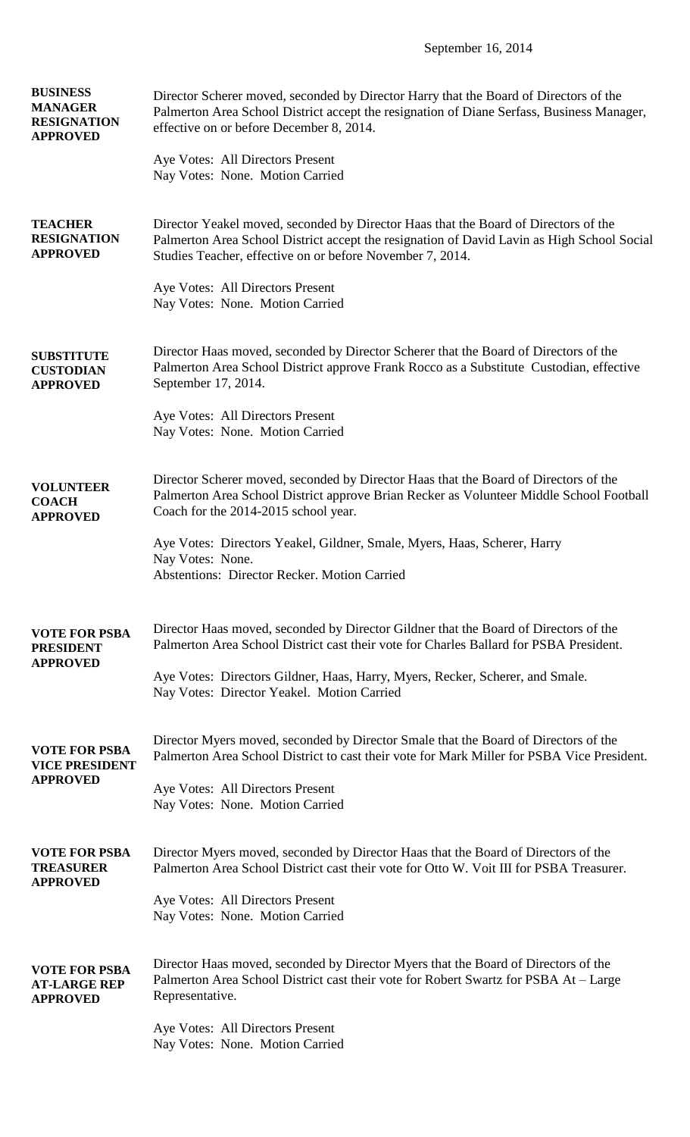September 16, 2014

| <b>BUSINESS</b><br><b>MANAGER</b><br><b>RESIGNATION</b><br><b>APPROVED</b> | Director Scherer moved, seconded by Director Harry that the Board of Directors of the<br>Palmerton Area School District accept the resignation of Diane Serfass, Business Manager,<br>effective on or before December 8, 2014.                 |
|----------------------------------------------------------------------------|------------------------------------------------------------------------------------------------------------------------------------------------------------------------------------------------------------------------------------------------|
|                                                                            | Aye Votes: All Directors Present<br>Nay Votes: None. Motion Carried                                                                                                                                                                            |
| <b>TEACHER</b><br><b>RESIGNATION</b><br><b>APPROVED</b>                    | Director Yeakel moved, seconded by Director Haas that the Board of Directors of the<br>Palmerton Area School District accept the resignation of David Lavin as High School Social<br>Studies Teacher, effective on or before November 7, 2014. |
|                                                                            | Aye Votes: All Directors Present<br>Nay Votes: None. Motion Carried                                                                                                                                                                            |
| <b>SUBSTITUTE</b><br><b>CUSTODIAN</b><br><b>APPROVED</b>                   | Director Haas moved, seconded by Director Scherer that the Board of Directors of the<br>Palmerton Area School District approve Frank Rocco as a Substitute Custodian, effective<br>September 17, 2014.                                         |
|                                                                            | Aye Votes: All Directors Present<br>Nay Votes: None. Motion Carried                                                                                                                                                                            |
| <b>VOLUNTEER</b><br><b>COACH</b><br><b>APPROVED</b>                        | Director Scherer moved, seconded by Director Haas that the Board of Directors of the<br>Palmerton Area School District approve Brian Recker as Volunteer Middle School Football<br>Coach for the 2014-2015 school year.                        |
|                                                                            | Aye Votes: Directors Yeakel, Gildner, Smale, Myers, Haas, Scherer, Harry<br>Nay Votes: None.<br><b>Abstentions: Director Recker. Motion Carried</b>                                                                                            |
| <b>VOTE FOR PSBA</b><br><b>PRESIDENT</b><br><b>APPROVED</b>                | Director Haas moved, seconded by Director Gildner that the Board of Directors of the<br>Palmerton Area School District cast their vote for Charles Ballard for PSBA President.                                                                 |
|                                                                            | Aye Votes: Directors Gildner, Haas, Harry, Myers, Recker, Scherer, and Smale.<br>Nay Votes: Director Yeakel. Motion Carried                                                                                                                    |
| <b>VOTE FOR PSBA</b><br><b>VICE PRESIDENT</b><br><b>APPROVED</b>           | Director Myers moved, seconded by Director Smale that the Board of Directors of the<br>Palmerton Area School District to cast their vote for Mark Miller for PSBA Vice President.                                                              |
|                                                                            | Aye Votes: All Directors Present<br>Nay Votes: None. Motion Carried                                                                                                                                                                            |
| <b>VOTE FOR PSBA</b><br><b>TREASURER</b><br><b>APPROVED</b>                | Director Myers moved, seconded by Director Haas that the Board of Directors of the<br>Palmerton Area School District cast their vote for Otto W. Voit III for PSBA Treasurer.                                                                  |
|                                                                            | Aye Votes: All Directors Present<br>Nay Votes: None. Motion Carried                                                                                                                                                                            |
| <b>VOTE FOR PSBA</b><br><b>AT-LARGE REP</b><br><b>APPROVED</b>             | Director Haas moved, seconded by Director Myers that the Board of Directors of the<br>Palmerton Area School District cast their vote for Robert Swartz for PSBA At - Large<br>Representative.                                                  |
|                                                                            | Aye Votes: All Directors Present<br>Nay Votes: None. Motion Carried                                                                                                                                                                            |